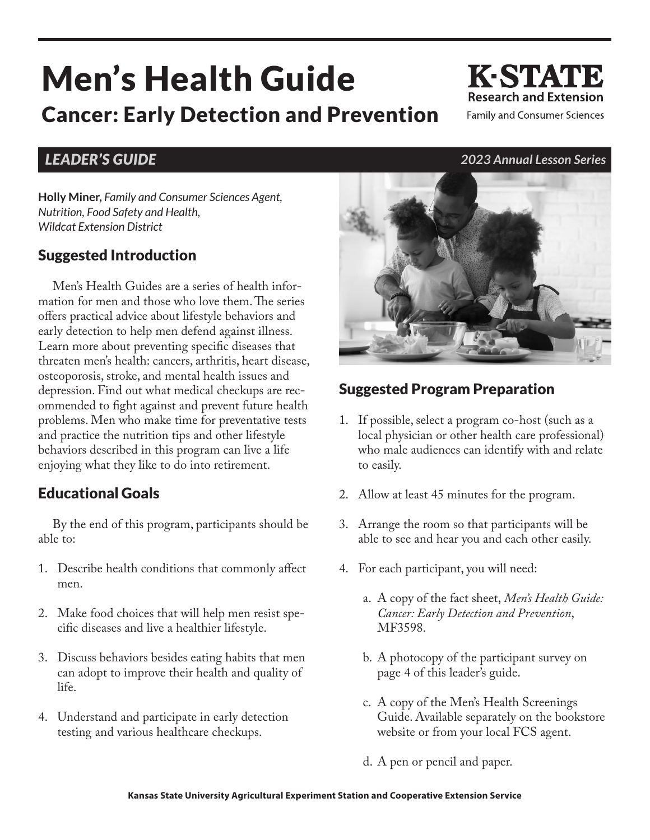# Men's Health Guide Cancer: Early Detection and Prevention

**Holly Miner,** *Family and Consumer Sciences Agent, Nutrition, Food Safety and Health, Wildcat Extension District*

### Suggested Introduction

Men's Health Guides are a series of health information for men and those who love them. The series offers practical advice about lifestyle behaviors and early detection to help men defend against illness. Learn more about preventing specific diseases that threaten men's health: cancers, arthritis, heart disease, osteoporosis, stroke, and mental health issues and depression. Find out what medical checkups are recommended to fight against and prevent future health problems. Men who make time for preventative tests and practice the nutrition tips and other lifestyle behaviors described in this program can live a life enjoying what they like to do into retirement.

### Educational Goals

By the end of this program, participants should be able to:

- 1. Describe health conditions that commonly affect men.
- 2. Make food choices that will help men resist specific diseases and live a healthier lifestyle.
- 3. Discuss behaviors besides eating habits that men can adopt to improve their health and quality of life.
- 4. Understand and participate in early detection testing and various healthcare checkups.

### Suggested Program Preparation

- 1. If possible, select a program co-host (such as a local physician or other health care professional) who male audiences can identify with and relate to easily.
- 2. Allow at least 45 minutes for the program.
- 3. Arrange the room so that participants will be able to see and hear you and each other easily.
- 4. For each participant, you will need:
	- a. A copy of the fact sheet, *Men's Health Guide: Cancer: Early Detection and Prevention*, MF3598.
	- b. A photocopy of the participant survey on page 4 of this leader's guide.
	- c. A copy of the Men's Health Screenings Guide. Available separately on the bookstore website or from your local FCS agent.
	- d. A pen or pencil and paper.



**K-STATE** 

**Research and Extension Family and Consumer Sciences**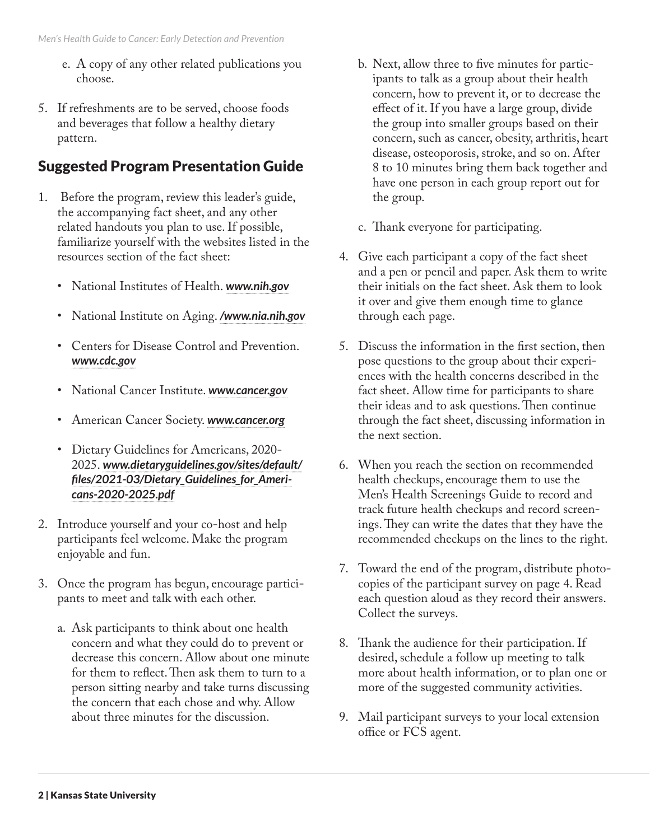- e. A copy of any other related publications you choose.
- 5. If refreshments are to be served, choose foods and beverages that follow a healthy dietary pattern.

## Suggested Program Presentation Guide

- 1. Before the program, review this leader's guide, the accompanying fact sheet, and any other related handouts you plan to use. If possible, familiarize yourself with the websites listed in the resources section of the fact sheet:
	- National Institutes of Health. *[www.nih.gov](https://www.nih.gov)*
	- National Institute on Aging. *[/www.nia.nih.gov](https://www.nia.nih.gov)*
	- Centers for Disease Control and Prevention. *[www.cdc.gov](https://www.cdc.gov)*
	- National Cancer Institute. *[www.cancer.gov](https://www.cancer.gov)*
	- American Cancer Society. *[www.cancer.org](https://www.cancer.org)*
	- Dietary Guidelines for Americans, 2020- 2025. *[www.dietaryguidelines.gov/sites/default/](https://www.dietaryguidelines.gov/sites/default/files/2021-03/Dietary_Guidelines_for_Americans-2020-2025.pdf) [files/2021-03/Dietary\\_Guidelines\\_for\\_Ameri](https://www.dietaryguidelines.gov/sites/default/files/2021-03/Dietary_Guidelines_for_Americans-2020-2025.pdf)[cans-2020-2025.pdf](https://www.dietaryguidelines.gov/sites/default/files/2021-03/Dietary_Guidelines_for_Americans-2020-2025.pdf)*
- 2. Introduce yourself and your co-host and help participants feel welcome. Make the program enjoyable and fun.
- 3. Once the program has begun, encourage participants to meet and talk with each other.
	- a. Ask participants to think about one health concern and what they could do to prevent or decrease this concern. Allow about one minute for them to reflect. Then ask them to turn to a person sitting nearby and take turns discussing the concern that each chose and why. Allow about three minutes for the discussion.
- b. Next, allow three to five minutes for participants to talk as a group about their health concern, how to prevent it, or to decrease the effect of it. If you have a large group, divide the group into smaller groups based on their concern, such as cancer, obesity, arthritis, heart disease, osteoporosis, stroke, and so on. After 8 to 10 minutes bring them back together and have one person in each group report out for the group.
- c. Thank everyone for participating.
- 4. Give each participant a copy of the fact sheet and a pen or pencil and paper. Ask them to write their initials on the fact sheet. Ask them to look it over and give them enough time to glance through each page.
- 5. Discuss the information in the first section, then pose questions to the group about their experiences with the health concerns described in the fact sheet. Allow time for participants to share their ideas and to ask questions. Then continue through the fact sheet, discussing information in the next section.
- 6. When you reach the section on recommended health checkups, encourage them to use the Men's Health Screenings Guide to record and track future health checkups and record screenings. They can write the dates that they have the recommended checkups on the lines to the right.
- 7. Toward the end of the program, distribute photocopies of the participant survey on page 4. Read each question aloud as they record their answers. Collect the surveys.
- 8. Thank the audience for their participation. If desired, schedule a follow up meeting to talk more about health information, or to plan one or more of the suggested community activities.
- 9. Mail participant surveys to your local extension office or FCS agent.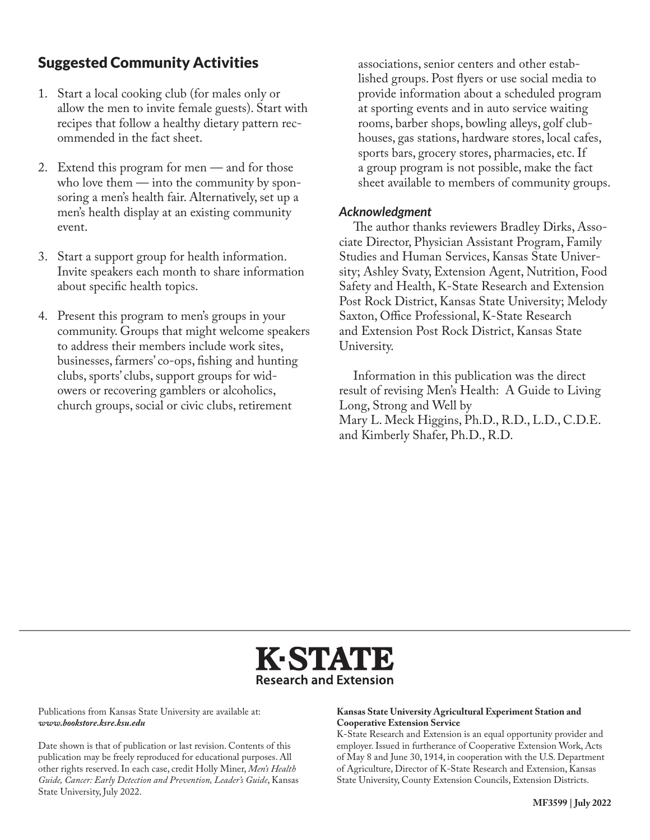#### Suggested Community Activities

- 1. Start a local cooking club (for males only or allow the men to invite female guests). Start with recipes that follow a healthy dietary pattern recommended in the fact sheet.
- 2. Extend this program for men and for those who love them — into the community by sponsoring a men's health fair. Alternatively, set up a men's health display at an existing community event.
- 3. Start a support group for health information. Invite speakers each month to share information about specific health topics.
- 4. Present this program to men's groups in your community. Groups that might welcome speakers to address their members include work sites, businesses, farmers' co-ops, fishing and hunting clubs, sports' clubs, support groups for widowers or recovering gamblers or alcoholics, church groups, social or civic clubs, retirement

associations, senior centers and other established groups. Post flyers or use social media to provide information about a scheduled program at sporting events and in auto service waiting rooms, barber shops, bowling alleys, golf clubhouses, gas stations, hardware stores, local cafes, sports bars, grocery stores, pharmacies, etc. If a group program is not possible, make the fact sheet available to members of community groups.

#### *Acknowledgment*

The author thanks reviewers Bradley Dirks, Associate Director, Physician Assistant Program, Family Studies and Human Services, Kansas State University; Ashley Svaty, Extension Agent, Nutrition, Food Safety and Health, K-State Research and Extension Post Rock District, Kansas State University; Melody Saxton, Office Professional, K-State Research and Extension Post Rock District, Kansas State University.

Information in this publication was the direct result of revising Men's Health: A Guide to Living Long, Strong and Well by Mary L. Meck Higgins, Ph.D., R.D., L.D., C.D.E. and Kimberly Shafer, Ph.D., R.D.



Publications from Kansas State University are available at: *www.bookstore.ksre.ksu.edu*

Date shown is that of publication or last revision. Contents of this publication may be freely reproduced for educational purposes. All other rights reserved. In each case, credit Holly Miner, *Men's Health Guide, Cancer: Early Detection and Prevention, Leader's Guide*, Kansas State University, July 2022.

#### **Kansas State University Agricultural Experiment Station and Cooperative Extension Service**

K-State Research and Extension is an equal opportunity provider and employer. Issued in furtherance of Cooperative Extension Work, Acts of May 8 and June 30, 1914, in cooperation with the U.S. Department of Agriculture, Director of K-State Research and Extension, Kansas State University, County Extension Councils, Extension Districts.